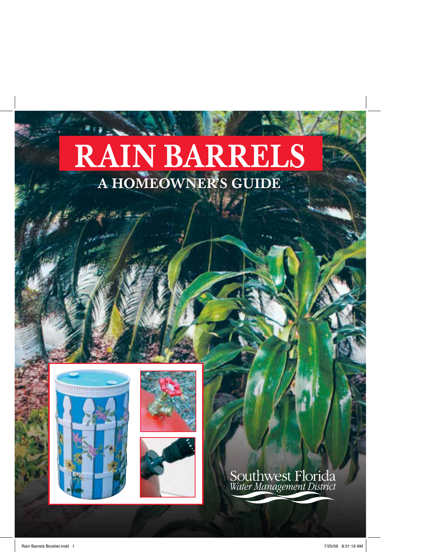# **RAIN BARRELS A HOMEOWNER'S GUIDE A HOMEOWNER'S GUIDE**







Southwest Florida<br>Water Management District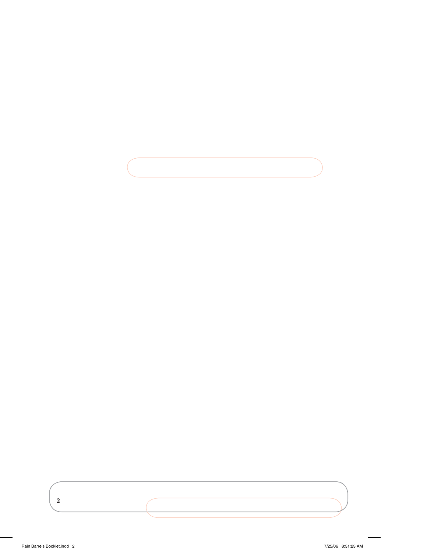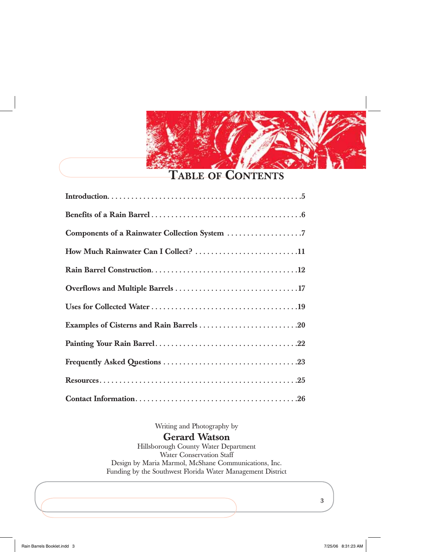# **TABLE OF CONTENTS**

| How Much Rainwater Can I Collect? 11 |
|--------------------------------------|
|                                      |
|                                      |
|                                      |
|                                      |
|                                      |
|                                      |
|                                      |
|                                      |

Writing and Photography by

### **Gerard Watson**

Hillsborough County Water Department Water Conservation Staff Design by Maria Marmol, McShane Communications, Inc. Funding by the Southwest Florida Water Management District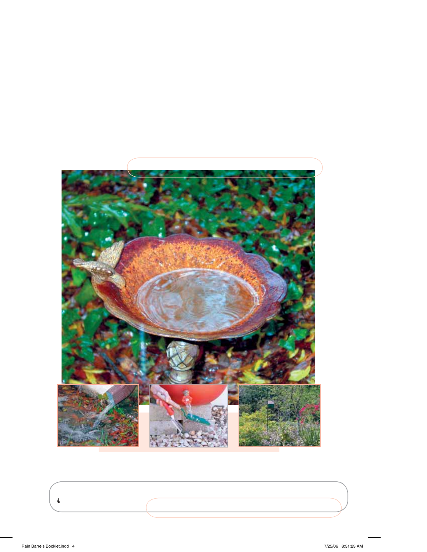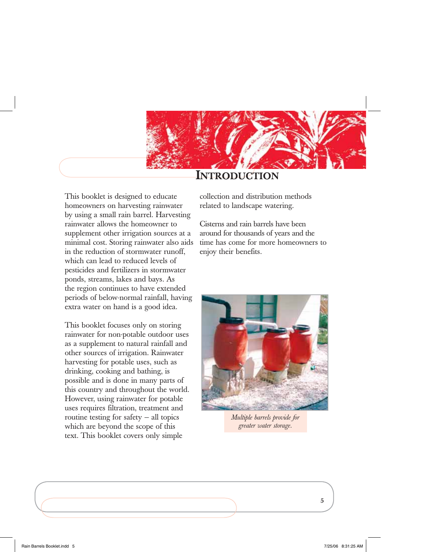

### **INTRODUCTION**

This booklet is designed to educate homeowners on harvesting rainwater by using a small rain barrel. Harvesting rainwater allows the homeowner to supplement other irrigation sources at a minimal cost. Storing rainwater also aids in the reduction of stormwater runoff, which can lead to reduced levels of pesticides and fertilizers in stormwater ponds, streams, lakes and bays. As the region continues to have extended periods of below-normal rainfall, having extra water on hand is a good idea.

This booklet focuses only on storing rainwater for non-potable outdoor uses as a supplement to natural rainfall and other sources of irrigation. Rainwater harvesting for potable uses, such as drinking, cooking and bathing, is possible and is done in many parts of this country and throughout the world. However, using rainwater for potable uses requires filtration, treatment and routine testing for safety — all topics which are beyond the scope of this text. This booklet covers only simple

collection and distribution methods related to landscape watering.

Cisterns and rain barrels have been around for thousands of years and the time has come for more homeowners to enjoy their benefits.



*Multiple barrels provide for greater water storage.*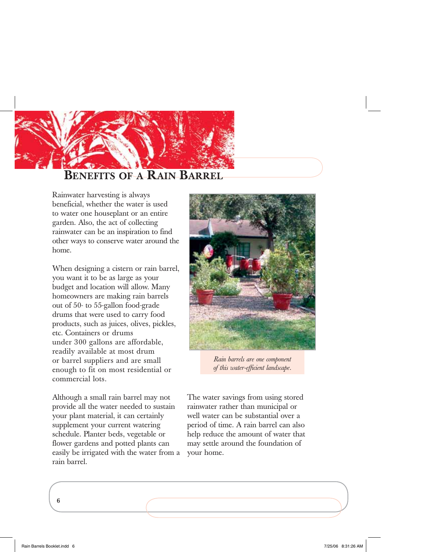

## **BENEFITS OF A RAIN BARREL**

Rainwater harvesting is always beneficial, whether the water is used to water one houseplant or an entire garden. Also, the act of collecting rainwater can be an inspiration to find other ways to conserve water around the home.

When designing a cistern or rain barrel, you want it to be as large as your budget and location will allow. Many homeowners are making rain barrels out of 50- to 55-gallon food-grade drums that were used to carry food products, such as juices, olives, pickles, etc. Containers or drums under 300 gallons are affordable, readily available at most drum or barrel suppliers and are small enough to fit on most residential or commercial lots.

Although a small rain barrel may not provide all the water needed to sustain your plant material, it can certainly supplement your current watering schedule. Planter beds, vegetable or flower gardens and potted plants can easily be irrigated with the water from a rain barrel.



*Rain barrels are one component of this water-efficient landscape.*

The water savings from using stored rainwater rather than municipal or well water can be substantial over a period of time. A rain barrel can also help reduce the amount of water that may settle around the foundation of your home.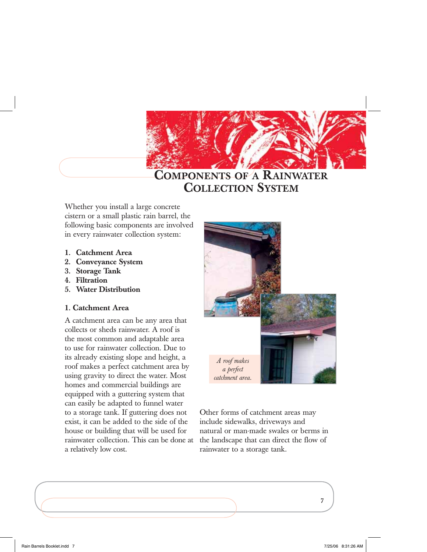

# **COMPONENTS OF A RAINWATER COLLECTION SYSTEM**

Whether you install a large concrete cistern or a small plastic rain barrel, the following basic components are involved in every rainwater collection system:

- **1. Catchment Area**
- **2. Conveyance System**
- **3. Storage Tank**
- **4. Filtration**
- **5. Water Distribution**

#### **1. Catchment Area**

A catchment area can be any area that collects or sheds rainwater. A roof is the most common and adaptable area to use for rainwater collection. Due to its already existing slope and height, a roof makes a perfect catchment area by using gravity to direct the water. Most homes and commercial buildings are equipped with a guttering system that can easily be adapted to funnel water to a storage tank. If guttering does not exist, it can be added to the side of the house or building that will be used for rainwater collection. This can be done at a relatively low cost.



Other forms of catchment areas may include sidewalks, driveways and natural or man-made swales or berms in the landscape that can direct the flow of rainwater to a storage tank.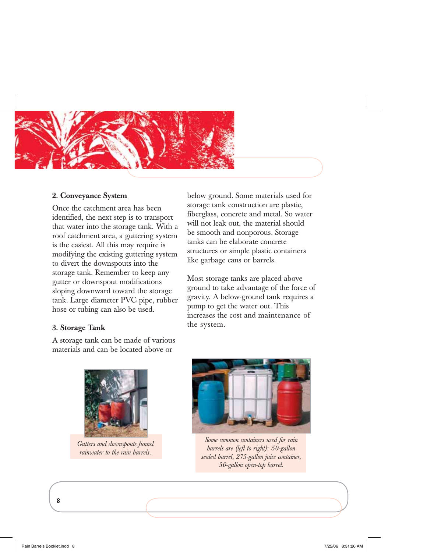

#### **2. Conveyance System**

Once the catchment area has been identified, the next step is to transport that water into the storage tank. With a roof catchment area, a guttering system is the easiest. All this may require is modifying the existing guttering system to divert the downspouts into the storage tank. Remember to keep any gutter or downspout modifications sloping downward toward the storage tank. Large diameter PVC pipe, rubber hose or tubing can also be used.

#### **3. Storage Tank**

A storage tank can be made of various materials and can be located above or

below ground. Some materials used for storage tank construction are plastic, fiberglass, concrete and metal. So water will not leak out, the material should be smooth and nonporous. Storage tanks can be elaborate concrete structures or simple plastic containers like garbage cans or barrels.

Most storage tanks are placed above ground to take advantage of the force of gravity. A below-ground tank requires a pump to get the water out. This increases the cost and maintenance of the system.



*Gutters and downspouts funnel rainwater to the rain barrels.*



*Some common containers used for rain barrels are (left to right)*: *50-gallon sealed barrel, 275-gallon juice container, 50-gallon open-top barrel.*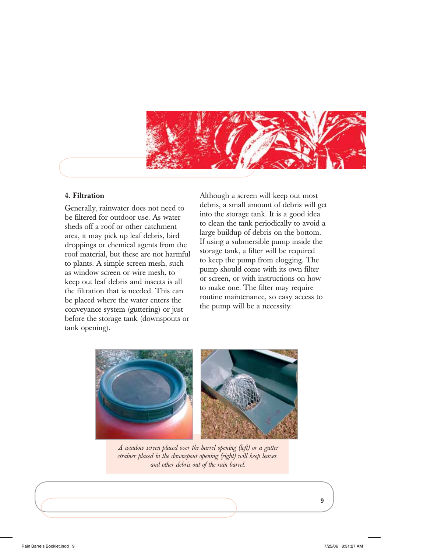#### **4. Filtration**

Generally, rainwater does not need to be filtered for outdoor use. As water sheds off a roof or other catchment area, it may pick up leaf debris, bird droppings or chemical agents from the roof material, but these are not harmful to plants. A simple screen mesh, such as window screen or wire mesh, to keep out leaf debris and insects is all the filtration that is needed. This can be placed where the water enters the conveyance system (guttering) or just before the storage tank (downspouts or tank opening).

Although a screen will keep out most debris, a small amount of debris will get into the storage tank. It is a good idea to clean the tank periodically to avoid a large buildup of debris on the bottom. If using a submersible pump inside the storage tank, a filter will be required to keep the pump from clogging. The pump should come with its own filter or screen, or with instructions on how to make one. The filter may require routine maintenance, so easy access to the pump will be a necessity.



*A window screen placed over the barrel opening (left) or a gutter strainer placed in the downspout opening (right) will keep leaves and other debris out of the rain barrel.*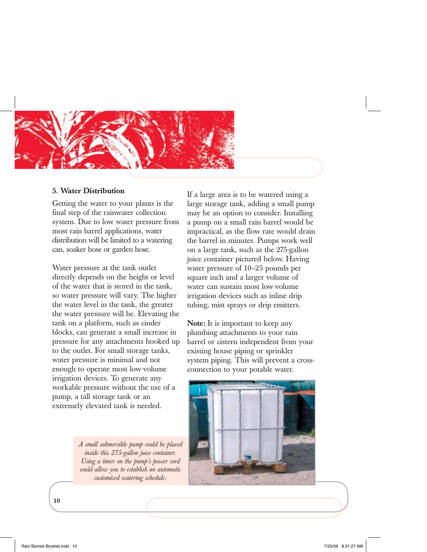

Getting the water to your plants is the final step of the rainwater collection system. Due to low water pressure from most rain barrel applications, water distribution will be limited to a watering can, soaker hose or garden hose.

Water pressure at the tank outlet directly depends on the height or level of the water that is stored in the tank, so water pressure will vary. The higher the water level in the tank, the greater the water pressure will be. Elevating the tank on a platform, such as cinder blocks, can generate a small increase in pressure for any attachments hooked up to the outlet. For small storage tanks, water pressure is minimal and not enough to operate most low-volume irrigation devices. To generate any workable pressure without the use of a pump, a tall storage tank or an extremely elevated tank is needed.

> *A small submersible pump could be placed inside this 275-gallon juice container. Using a timer on the pump's power cord could allow you to establish an automatic customized watering schedule.*

If a large area is to be watered using a large storage tank, adding a small pump may be an option to consider. Installing a pump on a small rain barrel would be impractical, as the flow rate would drain the barrel in minutes. Pumps work well on a large tank, such as the 275-gallon juice container pictured below. Having water pressure of 10–25 pounds per square inch and a larger volume of water can sustain most low-volume irrigation devices such as inline drip tubing, mist sprays or drip emitters.

**Note:** It is important to keep any plumbing attachments to your rain barrel or cistern independent from your existing house piping or sprinkler system piping. This will prevent a crossconnection to your potable water.

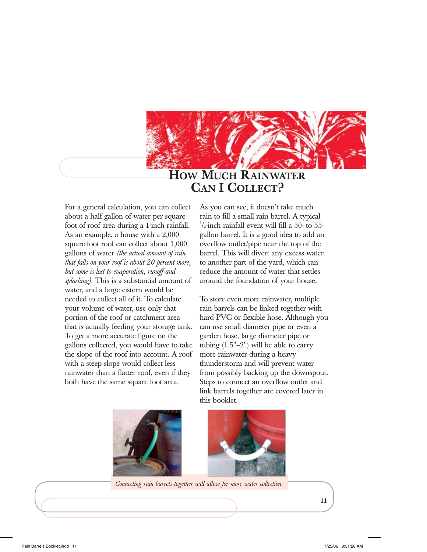# **HOW MUCH RAINWATER CAN I COLLECT?**

For a general calculation, you can collect about a half gallon of water per square foot of roof area during a 1-inch rainfall. As an example, a house with a 2,000 square-foot roof can collect about 1,000 gallons of water *(the actual amount of rain that falls on your roof is about 20 percent more, but some is lost to evaporation, runoff and splashing)*. This is a substantial amount of water, and a large cistern would be needed to collect all of it. To calculate your volume of water, use only that portion of the roof or catchment area that is actually feeding your storage tank. To get a more accurate figure on the gallons collected, you would have to take the slope of the roof into account. A roof with a steep slope would collect less rainwater than a flatter roof, even if they both have the same square foot area.

As you can see, it doesn't take much rain to fill a small rain barrel. A typical  $1/2$ -inch rainfall event will fill a 50- to 55gallon barrel. It is a good idea to add an overflow outlet/pipe near the top of the barrel. This will divert any excess water to another part of the yard, which can reduce the amount of water that settles around the foundation of your house.

To store even more rainwater, multiple rain barrels can be linked together with hard PVC or flexible hose. Although you can use small diameter pipe or even a garden hose, large diameter pipe or tubing  $(1.5"$ -2") will be able to carry more rainwater during a heavy thunderstorm and will prevent water from possibly backing up the downspout. Steps to connect an overflow outlet and link barrels together are covered later in this booklet.





*Connecting rain barrels together will allow for more water collection.*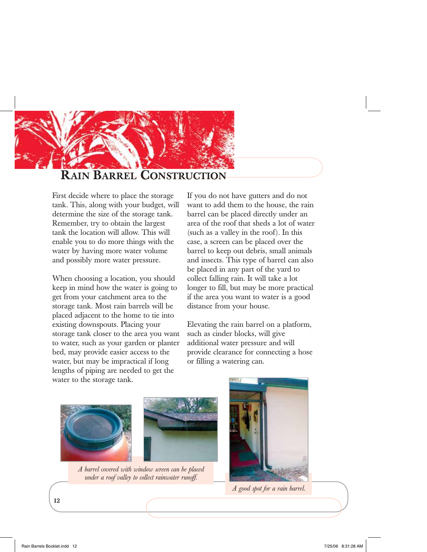

### **RAIN BARREL CONSTRUCTION**

First decide where to place the storage tank. This, along with your budget, will determine the size of the storage tank. Remember, try to obtain the largest tank the location will allow. This will enable you to do more things with the water by having more water volume and possibly more water pressure.

When choosing a location, you should keep in mind how the water is going to get from your catchment area to the storage tank. Most rain barrels will be placed adjacent to the home to tie into existing downspouts. Placing your storage tank closer to the area you want to water, such as your garden or planter bed, may provide easier access to the water, but may be impractical if long lengths of piping are needed to get the water to the storage tank.

If you do not have gutters and do not want to add them to the house, the rain barrel can be placed directly under an area of the roof that sheds a lot of water (such as a valley in the roof). In this case, a screen can be placed over the barrel to keep out debris, small animals and insects. This type of barrel can also be placed in any part of the yard to collect falling rain. It will take a lot longer to fill, but may be more practical if the area you want to water is a good distance from your house.

Elevating the rain barrel on a platform, such as cinder blocks, will give additional water pressure and will provide clearance for connecting a hose or filling a watering can.





*A barrel covered with window screen can be placed under a roof valley to collect rainwater runoff.*



*A good spot for a rain barrel.*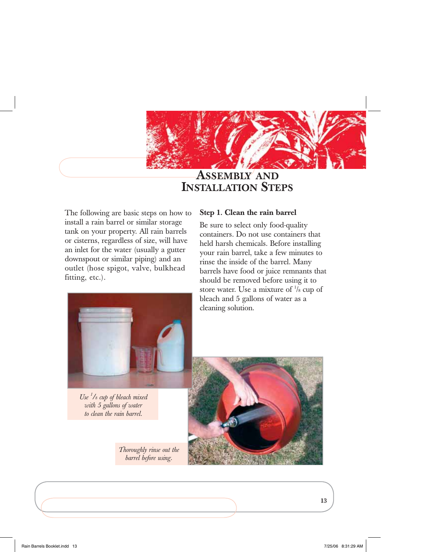

### **ASSEMBLY AND INSTALLATION STEPS**

The following are basic steps on how to install a rain barrel or similar storage tank on your property. All rain barrels or cisterns, regardless of size, will have an inlet for the water (usually a gutter downspout or similar piping) and an outlet (hose spigot, valve, bulkhead fitting, etc.).

#### **Step 1. Clean the rain barrel**

Be sure to select only food-quality containers. Do not use containers that held harsh chemicals. Before installing your rain barrel, take a few minutes to rinse the inside of the barrel. Many barrels have food or juice remnants that should be removed before using it to store water. Use a mixture of  $\frac{1}{8}$  cup of bleach and 5 gallons of water as a cleaning solution.



*Use <sup>1</sup> /8 cup of bleach mixed with 5 gallons of water to clean the rain barrel.*

*Thoroughly rinse out the barrel before using.*

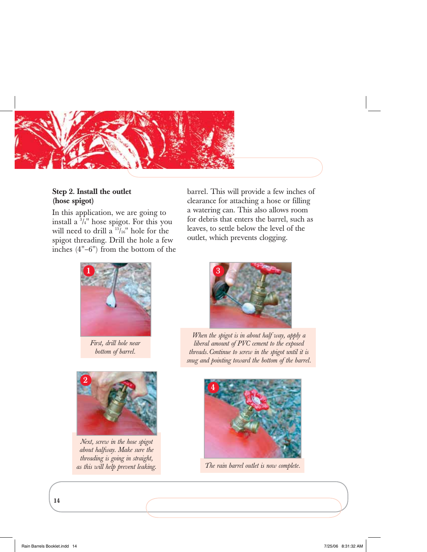

### **Step 2. Install the outlet (hose spigot)**

In this application, we are going to install a <sup>3</sup> /4" hose spigot. For this you will need to drill a  $15/16$ " hole for the spigot threading. Drill the hole a few inches (4"–6") from the bottom of the

barrel. This will provide a few inches of clearance for attaching a hose or filling a watering can. This also allows room for debris that enters the barrel, such as leaves, to settle below the level of the outlet, which prevents clogging.



*First, drill hole near bottom of barrel.*



*When the spigot is in about half way, apply a liberal amount of PVC cement to the exposed threads. Continue to screw in the spigot until it is snug and pointing toward the bottom of the barrel.*



*Next, screw in the hose spigot about halfway. Make sure the threading is going in straight, as this will help prevent leaking*.



*The rain barrel outlet is now complete.*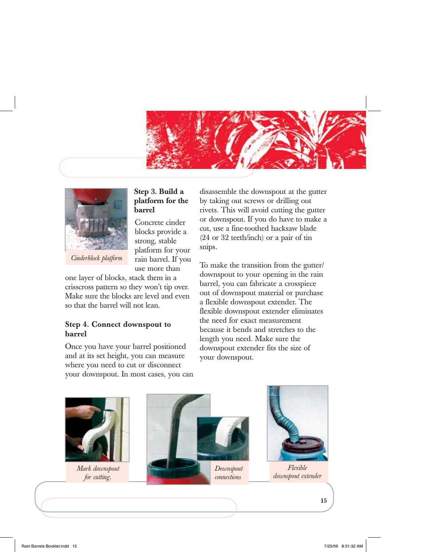



### **Step 3. Build a platform for the barrel**

Concrete cinder blocks provide a strong, stable platform for your rain barrel. If you use more than

one layer of blocks, stack them in a crisscross pattern so they won't tip over. Make sure the blocks are level and even so that the barrel will not lean.

### **Step 4. Connect downspout to barrel**

Once you have your barrel positioned and at its set height, you can measure where you need to cut or disconnect your downspout. In most cases, you can

disassemble the downspout at the gutter by taking out screws or drilling out rivets. This will avoid cutting the gutter or downspout. If you do have to make a cut, use a fine-toothed hacksaw blade (24 or 32 teeth/inch) or a pair of tin snips.

To make the transition from the gutter/ downspout to your opening in the rain barrel, you can fabricate a crosspiece out of downspout material or purchase a flexible downspout extender. The flexible downspout extender eliminates the need for exact measurement because it bends and stretches to the length you need. Make sure the downspout extender fits the size of your downspout.



*Mark downspout for cutting.*





*Flexible downspout extender*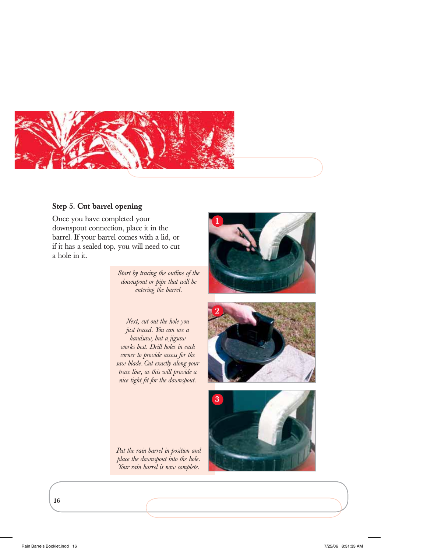

#### **Step 5. Cut barrel opening**

Once you have completed your downspout connection, place it in the barrel. If your barrel comes with a lid, or if it has a sealed top, you will need to cut a hole in it.

> *Start by tracing the outline of the downspout or pipe that will be entering the barrel.*

*Next, cut out the hole you just traced. You can use a handsaw, but a jigsaw works best. Drill holes in each corner to provide access for the saw blade. Cut exactly along your trace line, as this will provide a nice tight fit for the downspout.*





*Put the rain barrel in position and place the downspout into the hole. Your rain barrel is now complete.*

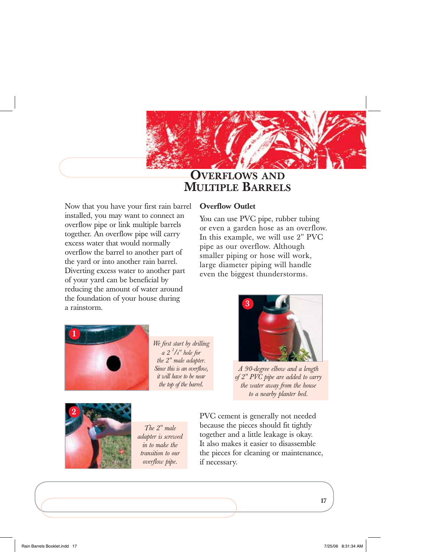

# **OVERFLOWS AND MULTIPLE BARRELS**

Now that you have your first rain barrel installed, you may want to connect an overflow pipe or link multiple barrels together. An overflow pipe will carry excess water that would normally overflow the barrel to another part of the yard or into another rain barrel. Diverting excess water to another part of your yard can be beneficial by reducing the amount of water around the foundation of your house during a rainstorm.

#### **Overflow Outlet**

You can use PVC pipe, rubber tubing or even a garden hose as an overflow. In this example, we will use 2" PVC pipe as our overflow. Although smaller piping or hose will work, large diameter piping will handle even the biggest thunderstorms.



*We first start by drilling a 2 <sup>1</sup> /4" hole for the 2" male adapter. Since this is an overflow, it will have to be near the top of the barrel.*



*A 90-degree elbow and a length of 2" PVC pipe are added to carry the water away from the house to a nearby planter bed.*



*The 2" male adapter is screwed in to make the transition to our overflow pipe.* 

PVC cement is generally not needed because the pieces should fit tightly together and a little leakage is okay. It also makes it easier to disassemble the pieces for cleaning or maintenance, if necessary.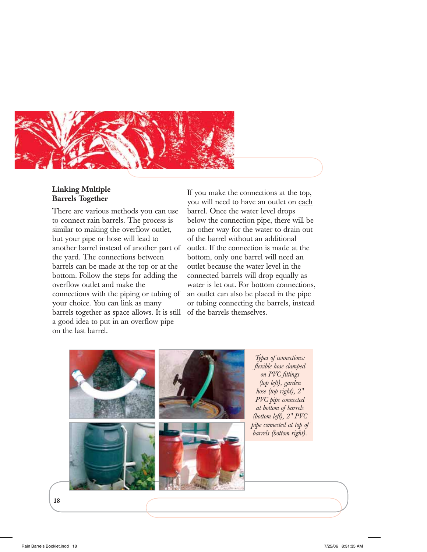

There are various methods you can use to connect rain barrels. The process is similar to making the overflow outlet, but your pipe or hose will lead to another barrel instead of another part of the yard. The connections between barrels can be made at the top or at the bottom. Follow the steps for adding the overflow outlet and make the connections with the piping or tubing of your choice. You can link as many barrels together as space allows. It is still a good idea to put in an overflow pipe on the last barrel.

If you make the connections at the top, you will need to have an outlet on each barrel. Once the water level drops below the connection pipe, there will be no other way for the water to drain out of the barrel without an additional outlet. If the connection is made at the bottom, only one barrel will need an outlet because the water level in the connected barrels will drop equally as water is let out. For bottom connections, an outlet can also be placed in the pipe or tubing connecting the barrels, instead of the barrels themselves.



*Types of connections: flexible hose clamped on PVC fittings (top left), garden hose (top right), 2" PVC pipe connected at bottom of barrels (bottom left), 2" PVC pipe connected at top of barrels (bottom right).*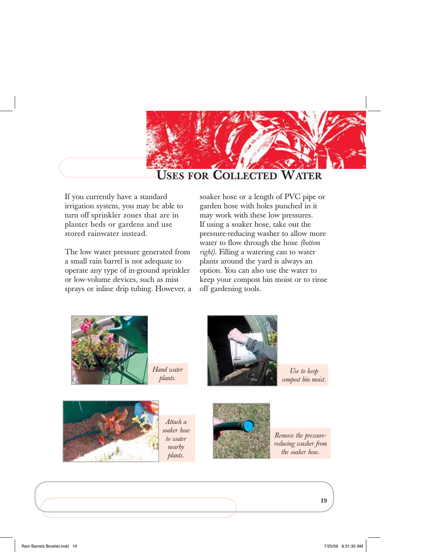# **USES FOR COLLECTED WATER**

If you currently have a standard irrigation system, you may be able to turn off sprinkler zones that are in planter beds or gardens and use stored rainwater instead.

The low water pressure generated from a small rain barrel is not adequate to operate any type of in-ground sprinkler or low-volume devices, such as mist sprays or inline drip tubing. However, a

soaker hose or a length of PVC pipe or garden hose with holes punched in it may work with these low pressures. If using a soaker hose, take out the pressure-reducing washer to allow more water to flow through the hose *(bottom right)*. Filling a watering can to water plants around the yard is always an option. You can also use the water to keep your compost bin moist or to rinse off gardening tools.



*Hand water plants.*



*Use to keep compost bin moist.*



*Attach a soaker hose to water nearby plants.*



*Remove the pressurereducing washer from the soaker hose.*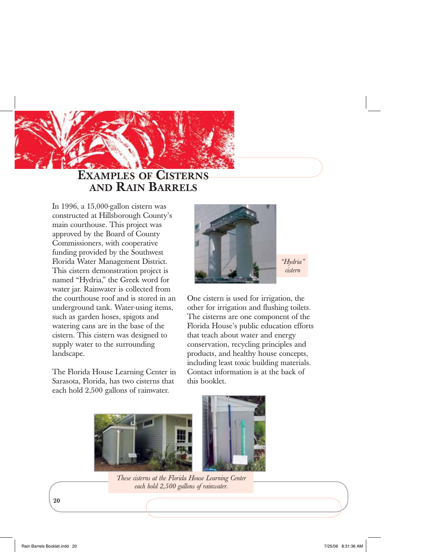

# **EXAMPLES OF CISTERNS AND RAIN BARRELS**

In 1996, a 15,000-gallon cistern was constructed at Hillsborough County's main courthouse. This project was approved by the Board of County Commissioners, with cooperative funding provided by the Southwest Florida Water Management District. This cistern demonstration project is named "Hydria," the Greek word for water jar. Rainwater is collected from the courthouse roof and is stored in an underground tank. Water-using items, such as garden hoses, spigots and watering cans are in the base of the cistern. This cistern was designed to supply water to the surrounding landscape.

The Florida House Learning Center in Sarasota, Florida, has two cisterns that each hold 2,500 gallons of rainwater.



One cistern is used for irrigation, the other for irrigation and flushing toilets. The cisterns are one component of the Florida House's public education efforts that teach about water and energy conservation, recycling principles and products, and healthy house concepts, including least toxic building materials. Contact information is at the back of this booklet.





*These cisterns at the Florida House Learning Center each hold 2,500 gallons of rainwater.*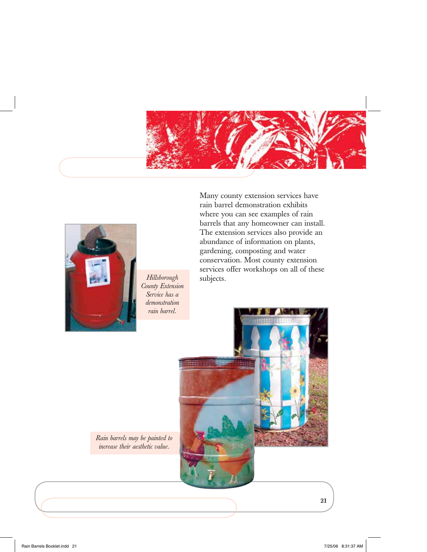

*Hillsborough County Extension Service has a demonstration rain barrel.*

Many county extension services have rain barrel demonstration exhibits where you can see examples of rain barrels that any homeowner can install. The extension services also provide an abundance of information on plants, gardening, composting and water conservation. Most county extension services offer workshops on all of these subjects.



*Rain barrels may be painted to increase their aesthetic value.*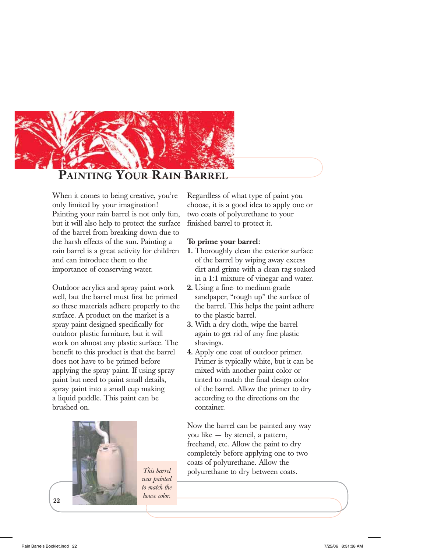

# **PAINTING YOUR RAIN BARREL**

When it comes to being creative, you're only limited by your imagination! Painting your rain barrel is not only fun, but it will also help to protect the surface of the barrel from breaking down due to the harsh effects of the sun. Painting a rain barrel is a great activity for children and can introduce them to the importance of conserving water.

Outdoor acrylics and spray paint work well, but the barrel must first be primed so these materials adhere properly to the surface. A product on the market is a spray paint designed specifically for outdoor plastic furniture, but it will work on almost any plastic surface. The benefit to this product is that the barrel does not have to be primed before applying the spray paint. If using spray paint but need to paint small details, spray paint into a small cup making a liquid puddle. This paint can be brushed on.



*This barrel was painted to match the house color.*

Regardless of what type of paint you choose, it is a good idea to apply one or two coats of polyurethane to your finished barrel to protect it.

### **To prime your barrel:**

- **1.** Thoroughly clean the exterior surface of the barrel by wiping away excess dirt and grime with a clean rag soaked in a 1:1 mixture of vinegar and water.
- **2.** Using a fine- to medium-grade sandpaper, "rough up" the surface of the barrel. This helps the paint adhere to the plastic barrel.
- **3.** With a dry cloth, wipe the barrel again to get rid of any fine plastic shavings.
- **4.** Apply one coat of outdoor primer. Primer is typically white, but it can be mixed with another paint color or tinted to match the final design color of the barrel. Allow the primer to dry according to the directions on the container.

Now the barrel can be painted any way you like — by stencil, a pattern, freehand, etc. Allow the paint to dry completely before applying one to two coats of polyurethane. Allow the polyurethane to dry between coats.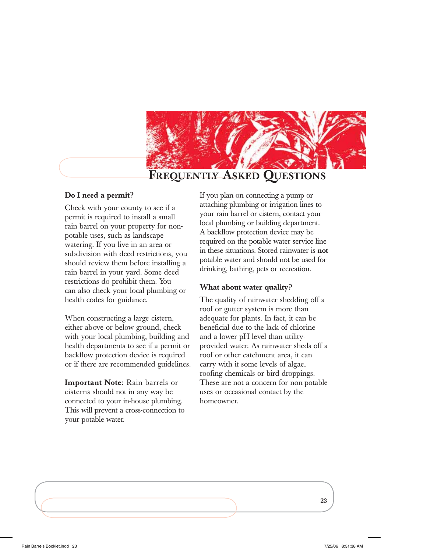# **FREQUENTLY ASKED QUESTIONS**

### **Do I need a permit?**

Check with your county to see if a permit is required to install a small rain barrel on your property for nonpotable uses, such as landscape watering. If you live in an area or subdivision with deed restrictions, you should review them before installing a rain barrel in your yard. Some deed restrictions do prohibit them. You can also check your local plumbing or health codes for guidance.

When constructing a large cistern, either above or below ground, check with your local plumbing, building and health departments to see if a permit or backflow protection device is required or if there are recommended guidelines.

**Important Note:** Rain barrels or cisterns should not in any way be connected to your in-house plumbing. This will prevent a cross-connection to your potable water.

If you plan on connecting a pump or attaching plumbing or irrigation lines to your rain barrel or cistern, contact your local plumbing or building department. A backflow protection device may be required on the potable water service line in these situations. Stored rainwater is **not** potable water and should not be used for drinking, bathing, pets or recreation.

### **What about water quality?**

The quality of rainwater shedding off a roof or gutter system is more than adequate for plants. In fact, it can be beneficial due to the lack of chlorine and a lower pH level than utilityprovided water. As rainwater sheds off a roof or other catchment area, it can carry with it some levels of algae, roofing chemicals or bird droppings. These are not a concern for non-potable uses or occasional contact by the homeowner.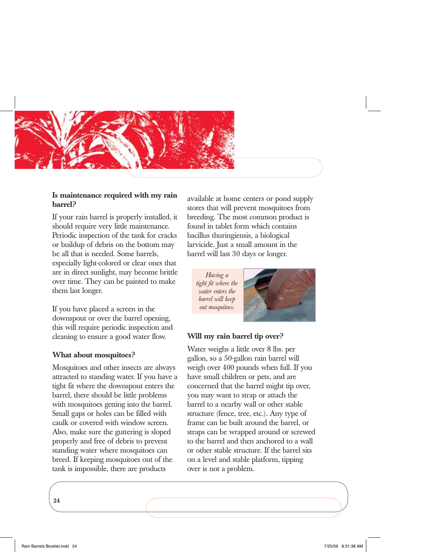

#### **Is maintenance required with my rain barrel?**

If your rain barrel is properly installed, it should require very little maintenance. Periodic inspection of the tank for cracks or buildup of debris on the bottom may be all that is needed. Some barrels, especially light-colored or clear ones that are in direct sunlight, may become brittle over time. They can be painted to make them last longer.

If you have placed a screen in the downspout or over the barrel opening, this will require periodic inspection and cleaning to ensure a good water flow.

#### **What about mosquitoes?**

Mosquitoes and other insects are always attracted to standing water. If you have a tight fit where the downspout enters the barrel, there should be little problems with mosquitoes getting into the barrel. Small gaps or holes can be filled with caulk or covered with window screen. Also, make sure the guttering is sloped properly and free of debris to prevent standing water where mosquitoes can breed. If keeping mosquitoes out of the tank is impossible, there are products

available at home centers or pond supply stores that will prevent mosquitoes from breeding. The most common product is found in tablet form which contains bacillus thuringiensis, a biological larvicide. Just a small amount in the barrel will last 30 days or longer.

*Having a tight fit where the water enters the barrel will keep out mosquitoes.* 



#### **Will my rain barrel tip over?**

Water weighs a little over 8 lbs. per gallon, so a 50-gallon rain barrel will weigh over 400 pounds when full. If you have small children or pets, and are concerned that the barrel might tip over, you may want to strap or attach the barrel to a nearby wall or other stable structure (fence, tree, etc.). Any type of frame can be built around the barrel, or straps can be wrapped around or screwed to the barrel and then anchored to a wall or other stable structure. If the barrel sits on a level and stable platform, tipping over is not a problem.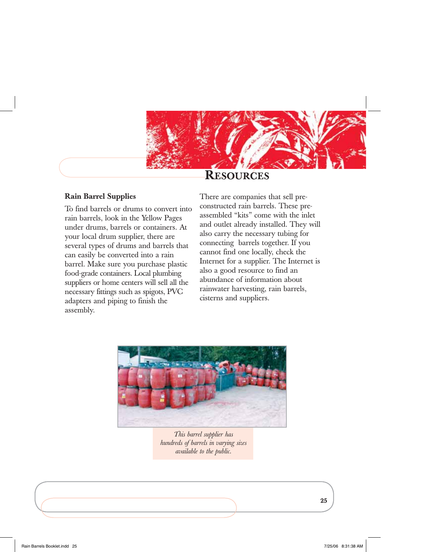

#### **Rain Barrel Supplies**

To find barrels or drums to convert into rain barrels, look in the Yellow Pages under drums, barrels or containers. At your local drum supplier, there are several types of drums and barrels that can easily be converted into a rain barrel. Make sure you purchase plastic food-grade containers. Local plumbing suppliers or home centers will sell all the necessary fittings such as spigots, PVC adapters and piping to finish the assembly.

There are companies that sell preconstructed rain barrels. These preassembled "kits" come with the inlet and outlet already installed. They will also carry the necessary tubing for connecting barrels together. If you cannot find one locally, check the Internet for a supplier. The Internet is also a good resource to find an abundance of information about rainwater harvesting, rain barrels, cisterns and suppliers.



*This barrel supplier has hundreds of barrels in varying sizes available to the public.*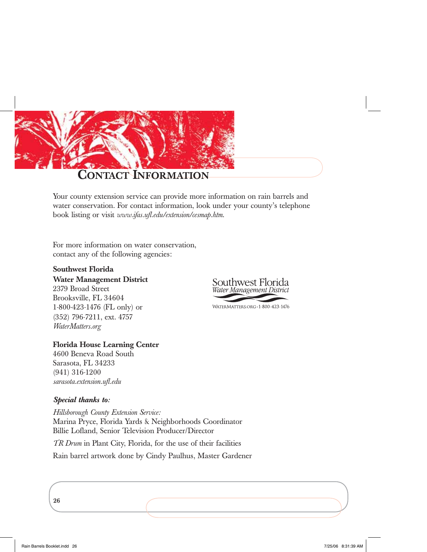

Your county extension service can provide more information on rain barrels and water conservation. For contact information, look under your county's telephone book listing or visit *www.ifas.ufl.edu/extension/cesmap.htm*.

For more information on water conservation, contact any of the following agencies:

### **Southwest Florida**

**Water Management District**

2379 Broad Street Brooksville, FL 34604 1-800-423-1476 (FL only) or (352) 796-7211, ext. 4757 *WaterMatters.org*

Southwest Florida Water Management District

WATERMATTERS.ORG · 1-800-423-1476

### **Florida House Learning Center**

4600 Beneva Road South Sarasota, FL 34233 (941) 316-1200 *sarasota.extension.ufl.edu*

### *Special thanks to:*

*Hillsborough County Extension Service:* Marina Pryce, Florida Yards & Neighborhoods Coordinator Billie Lofland, Senior Television Producer/Director

*TR Drum* in Plant City, Florida, for the use of their facilities

Rain barrel artwork done by Cindy Paulhus, Master Gardener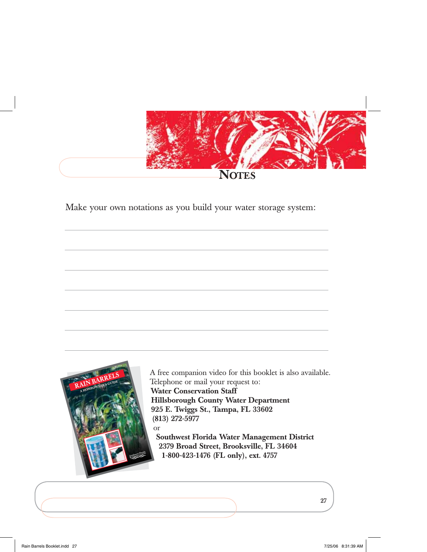

Make your own notations as you build your water storage system:



A free companion video for this booklet is also available. Telephone or mail your request to: **Water Conservation Staff Hillsborough County Water Department 925 E. Twiggs St., Tampa, FL 33602 (813) 272-5977** or

**Southwest Florida Water Management District 2379 Broad Street, Brooksville, FL 34604 1-800-423-1476 (FL only), ext. 4757**